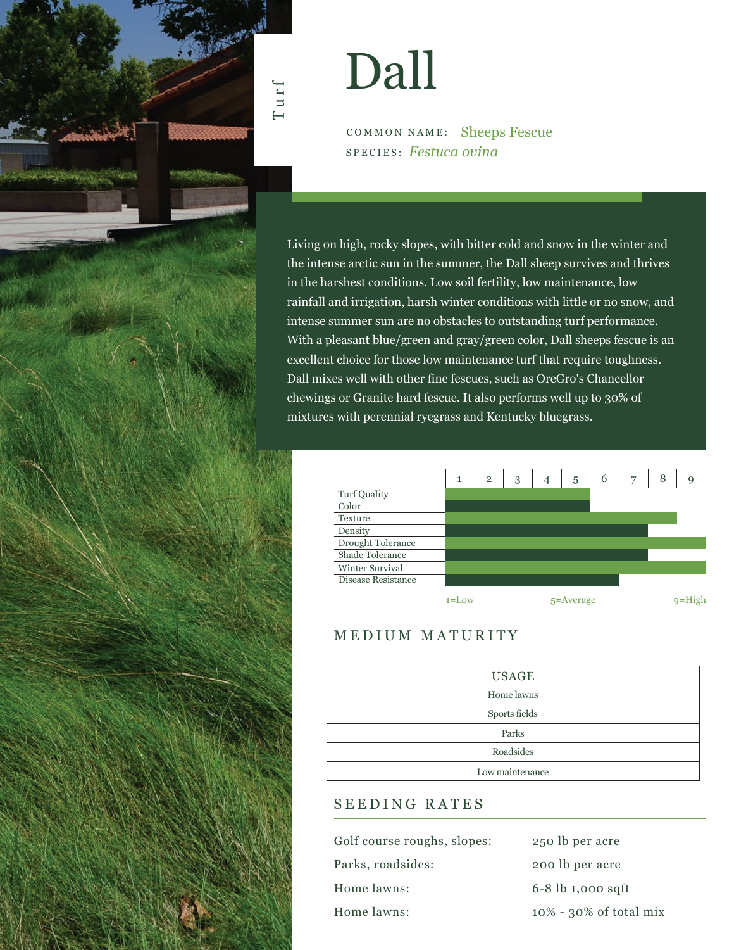

# Dall

COMMON NAME: Sheeps Fescue SPECIES: *Festuca ovina*

Living on high, rocky slopes, with bitter cold and snow in the winter and the intense arctic sun in the summer, the Dall sheep survives and thrives in the harshest conditions. Low soil fertility, low maintenance, low rainfall and irrigation, harsh winter conditions with little or no snow, and intense summer sun are no obstacles to outstanding turf performance. With a pleasant blue/green and gray/green color, Dall sheeps fescue is an excellent choice for those low maintenance turf that require toughness. Dall mixes well with other fine fescues, such as OreGro's Chancellor chewings or Granite hard fescue. It also performs well up to 30% of mixtures with perennial ryegrass and Kentucky bluegrass.



## MEDIUM MATURITY

| <b>USAGE</b>    |
|-----------------|
| Home lawns      |
| Sports fields   |
| Parks           |
| Roadsides       |
| Low maintenance |

## SEEDING RATES

| Golf course roughs, slopes: | 250 lb per acre           |
|-----------------------------|---------------------------|
| Parks, roadsides:           | 200 lb per acre           |
| Home lawns:                 | $6 - 8$ lb 1,000 sqft     |
| Home lawns:                 | $10\%$ - 30% of total mix |